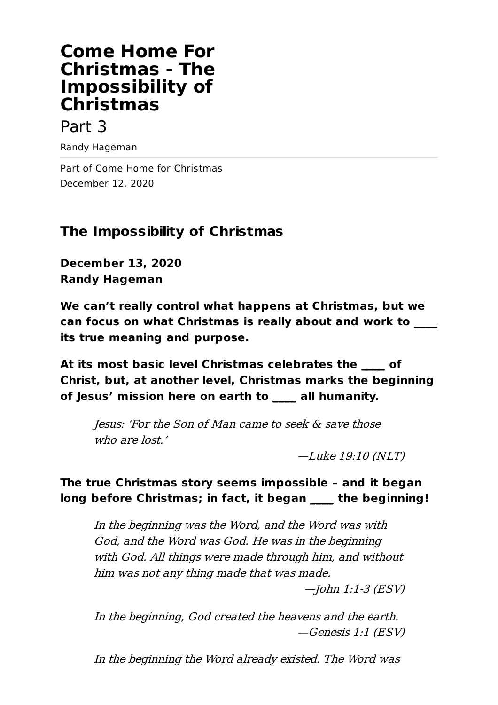# **Come Home For Christmas - The Impossibility of Christmas**

### Part 3

Randy Hageman

Part of Come Home for Christmas December 12, 2020

## **The Impossibility of Christmas**

**December 13, 2020 Randy Hageman**

**We can't really control what happens at Christmas, but we can focus on what Christmas is really about and work to \_\_\_\_ its true meaning and purpose.**

**At its most basic level Christmas celebrates the \_\_\_\_ of Christ, but, at another level, Christmas marks the beginning of Jesus' mission here on earth to \_\_\_\_ all humanity.**

Jesus: 'For the Son of Man came to seek & save those who are lost.'

—Luke 19:10 (NLT)

### **The true Christmas story seems impossible – and it began long before Christmas; in fact, it began \_\_\_\_ the beginning!**

In the beginning was the Word, and the Word was with God, and the Word was God. He was in the beginning with God. All things were made through him, and without him was not any thing made that was made.

—John 1:1-3 (ESV)

In the beginning, God created the heavens and the earth. —Genesis 1:1 (ESV)

In the beginning the Word already existed. The Word was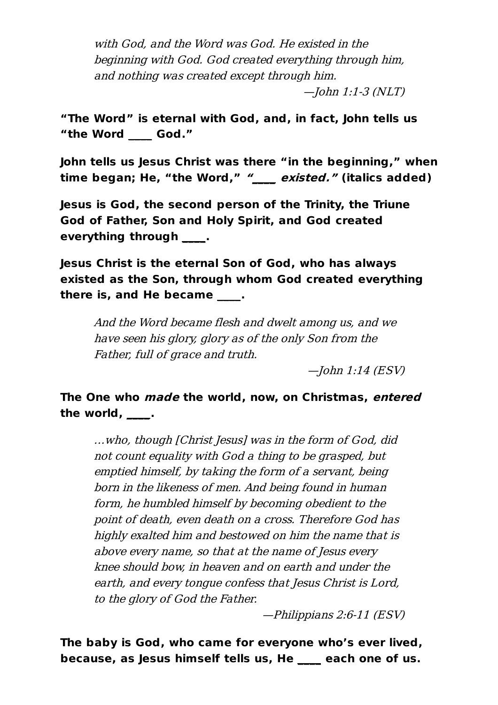with God, and the Word was God. He existed in the beginning with God. God created everything through him, and nothing was created except through him.

—John 1:1-3 (NLT)

**"The Word" is eternal with God, and, in fact, John tells us "the Word \_\_\_\_ God."**

**John tells us Jesus Christ was there "in the beginning," when time began; He, "the Word," "\_\_\_\_ existed." (italics added)**

**Jesus is God, the second person of the Trinity, the Triune God of Father, Son and Holy Spirit, and God created everything through \_\_\_\_.**

**Jesus Christ is the eternal Son of God, who has always existed as the Son, through whom God created everything there is, and He became \_\_\_\_.**

And the Word became flesh and dwelt among us, and we have seen his glory, glory as of the only Son from the Father, full of grace and truth.

—John 1:14 (ESV)

**The One who made the world, now, on Christmas, entered the world, \_\_\_\_.**

…who, though [Christ Jesus] was in the form of God, did not count equality with God <sup>a</sup> thing to be grasped, but emptied himself, by taking the form of <sup>a</sup> servant, being born in the likeness of men. And being found in human form, he humbled himself by becoming obedient to the point of death, even death on <sup>a</sup> cross. Therefore God has highly exalted him and bestowed on him the name that is above every name, so that at the name of Jesus every knee should bow, in heaven and on earth and under the earth, and every tongue confess that Jesus Christ is Lord, to the glory of God the Father.

—Philippians 2:6-11 (ESV)

**The baby is God, who came for everyone who's ever lived, because, as Jesus himself tells us, He \_\_\_\_ each one of us.**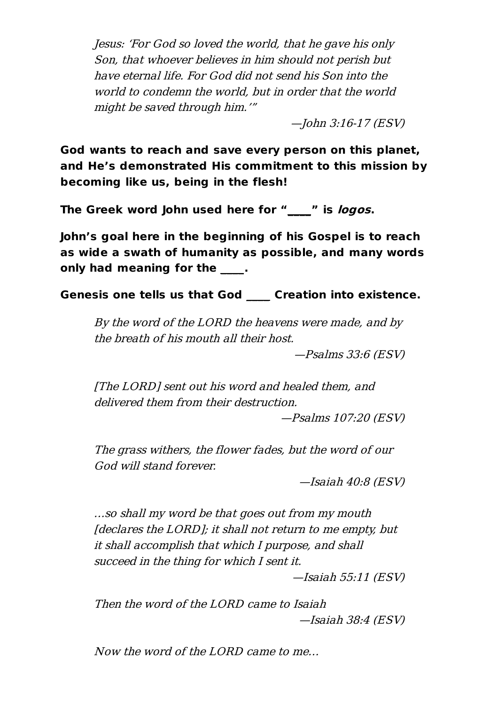Jesus: 'For God so loved the world, that he gave his only Son, that whoever believes in him should not perish but have eternal life. For God did not send his Son into the world to condemn the world, but in order that the world might be saved through him.'"

—John 3:16-17 (ESV)

**God wants to reach and save every person on this planet, and He's demonstrated His commitment to this mission by becoming like us, being in the flesh!**

**The Greek word John used here for "\_\_\_\_" is logos.**

**John's goal here in the beginning of his Gospel is to reach as wide a swath of humanity as possible, and many words only had meaning for the \_\_\_\_.**

**Genesis one tells us that God \_\_\_\_ Creation into existence.**

By the word of the LORD the heavens were made, and by the breath of his mouth all their host.

—Psalms 33:6 (ESV)

[The LORD] sent out his word and healed them, and delivered them from their destruction.

—Psalms 107:20 (ESV)

The grass withers, the flower fades, but the word of our God will stand forever.

—Isaiah 40:8 (ESV)

…so shall my word be that goes out from my mouth [declares the LORD]; it shall not return to me empty, but it shall accomplish that which I purpose, and shall succeed in the thing for which I sent it.

—Isaiah 55:11 (ESV)

Then the word of the LORD came to Isaiah —Isaiah 38:4 (ESV)

Now the word of the LORD came to me…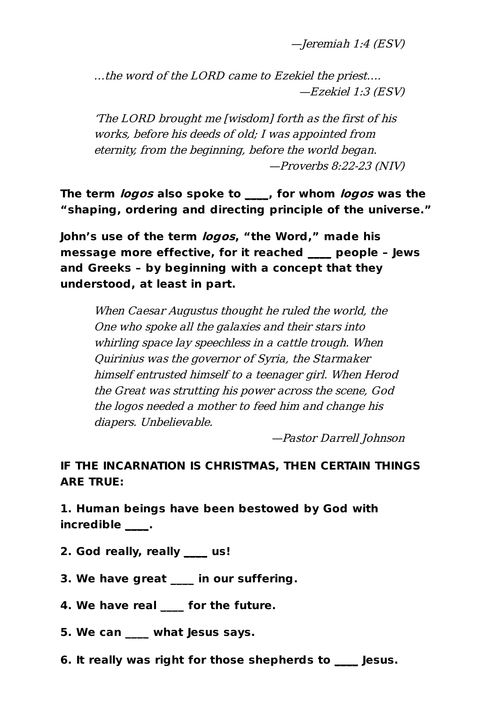—Jeremiah 1:4 (ESV)

…the word of the LORD came to Ezekiel the priest…. —Ezekiel 1:3 (ESV)

'The LORD brought me [wisdom] forth as the first of his works, before his deeds of old; I was appointed from eternity, from the beginning, before the world began. —Proverbs 8:22-23 (NIV)

**The term logos also spoke to \_\_\_\_, for whom logos was the "shaping, ordering and directing principle of the universe."**

**John's use of the term logos, "the Word," made his message more effective, for it reached \_\_\_\_ people – Jews and Greeks – by beginning with a concept that they understood, at least in part.**

When Caesar Augustus thought he ruled the world, the One who spoke all the galaxies and their stars into whirling space lay speechless in <sup>a</sup> cattle trough. When Quirinius was the governor of Syria, the Starmaker himself entrusted himself to <sup>a</sup> teenager girl. When Herod the Great was strutting his power across the scene, God the logos needed <sup>a</sup> mother to feed him and change his diapers. Unbelievable.

—Pastor Darrell Johnson

#### **IF THE INCARNATION IS CHRISTMAS, THEN CERTAIN THINGS ARE TRUE:**

**1. Human beings have been bestowed by God with incredible \_\_\_\_.**

- **2. God really, really \_\_\_\_ us!**
- **3. We have great \_\_\_\_ in our suffering.**
- **4. We have real \_\_\_\_ for the future.**
- **5. We can \_\_\_\_ what Jesus says.**
- **6. It really was right for those shepherds to \_\_\_\_ Jesus.**